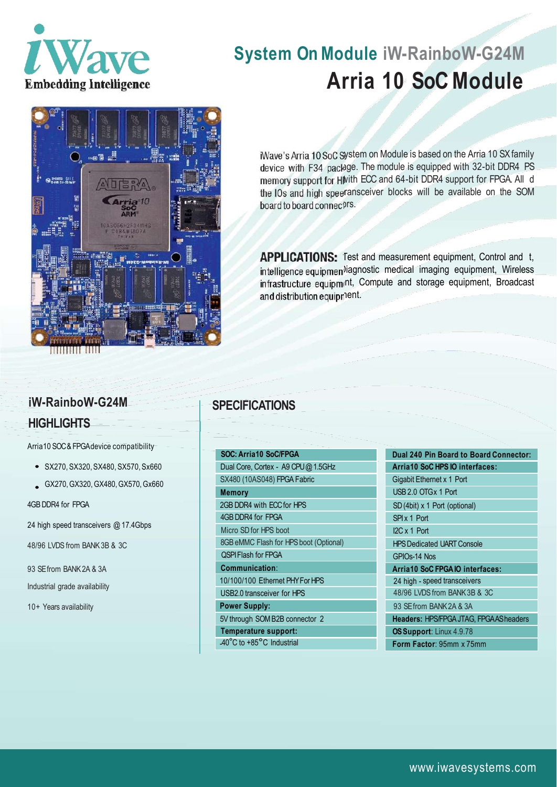

# **System On Module iW-RainboW-G24M Arria 10 SoCModule**



iWave's Arria 10 SoC System on Module is based on the Arria 10 SX family device with F34 package. The module is equipped with 32-bit DDR4 PS memory support for Hilvith ECC and 64-bit DDR4 support for FPGA. All d the IOs and high speeransceiver blocks will be available on the SOM board to board connectrs.

APPLICATIONS: Test and measurement equipment, Control and t, intelligence equipmen<sup>y</sup>iagnostic medical imaging equipment, Wireless infrastructure equipmint, Compute and storage equipment, Broadcast and distribution equipment.

#### **SPECIFICATIONS**

#### **SOC: Arria10 SoC/FPGA** Dual Core, Cortex - A9 CPU@ 1.5GHz SX480 (10AS048) FPGA Fabric **Memory** 2GB DDR4 with ECC for HPS 4GB DDR4 for FPGA Micro SD for HPS boot 8GB eMMC Flash for HPS boot (Optional) QSPI Flash for FPGA **Communication**: 10/100/100 Ethernet PHY ForHPS USB2.0 transceiver for HPS **Power Supply:** 5V through SOM B2B connector 2 **Temperature support:** -40°C to +85°C Industrial

#### **Dual 240 Pin Board to Board Connector: Arria10 SoC HPS IO interfaces:** Gigabit Ethernet x 1 Port USB 2.0 OTG x 1 Port SD (4bit) x 1 Port (optional) SPI x 1 Port I2C x 1 Port **HPS Dedicated UART Console** GPIOs-14 Nos **Arria10 SoC FPGA IO interfaces:** 24 high - speed transceivers 48/96 LVDS from BANK 3B & 3C 93 SE from BANK 2A & 3A **Headers:** HPS/FPGA JTAG, FPGA ASheaders **OS Support**: Linux 4.9.78 **Form Factor**: 95mm x 75mm

## **iW-RainboW-G24M HIGHLIGHTS**

Arria10 SOC&FPGAdevice compatibility

- SX270, SX320,SX480,SX570,Sx660
- GX270,GX320,GX480,GX570,Gx660

4GB DDR4 for FPGA

24 high speed transceivers @ 17.4Gbps

48/96 LVDS from BANK 3B & 3C

93 SE from BANK 2A & 3A

Industrial grade availability

10+ Years availability